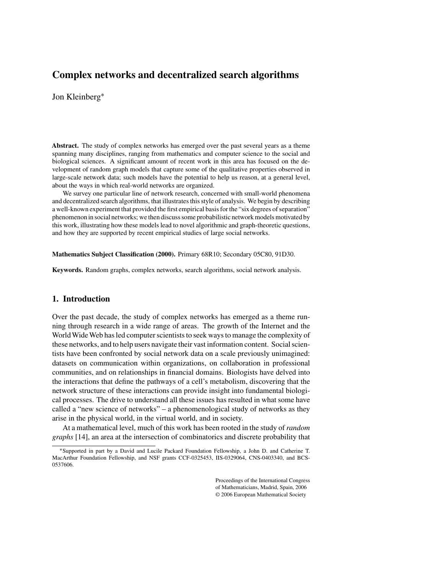Jon Kleinberg<sup>∗</sup>

**Abstract.** The study of complex networks has emerged over the past several years as a theme spanning many disciplines, ranging from mathematics and computer science to the social and biological sciences. A significant amount of recent work in this area has focused on the development of random graph models that capture some of the qualitative properties observed in large-scale network data; such models have the potential to help us reason, at a general level, about the ways in which real-world networks are organized.

We survey one particular line of network research, concerned with small-world phenomena and decentralized search algorithms, that illustrates this style of analysis. We begin by describing a well-known experiment that provided the first empirical basis for the "six degrees of separation" phenomenon in social networks; we then discuss some probabilistic network models motivated by this work, illustrating how these models lead to novel algorithmic and graph-theoretic questions, and how they are supported by recent empirical studies of large social networks.

**Mathematics Subject Classification (2000).** Primary 68R10; Secondary 05C80, 91D30.

**Keywords.** Random graphs, complex networks, search algorithms, social network analysis.

# **1. Introduction**

Over the past decade, the study of complex networks has emerged as a theme running through research in a wide range of areas. The growth of the Internet and the World Wide Web has led computer scientists to seek ways to manage the complexity of these networks, and to help users navigate their vast information content. Social scientists have been confronted by social network data on a scale previously unimagined: datasets on communication within organizations, on collaboration in professional communities, and on relationships in financial domains. Biologists have delved into the interactions that define the pathways of a cell's metabolism, discovering that the network structure of these interactions can provide insight into fundamental biological processes. The drive to understand all these issues has resulted in what some have called a "new science of networks" – a phenomenological study of networks as they arise in the physical world, in the virtual world, and in society.

At a mathematical level, much of this work has been rooted in the study of*random graphs* [14], an area at the intersection of combinatorics and discrete probability that

Proceedings of the International Congress of Mathematicians, Madrid, Spain, 2006 © 2006 European Mathematical Society

<sup>∗</sup>Supported in part by a David and Lucile Packard Foundation Fellowship, a John D. and Catherine T. MacArthur Foundation Fellowship, and NSF grants CCF-0325453, IIS-0329064, CNS-0403340, and BCS-0537606.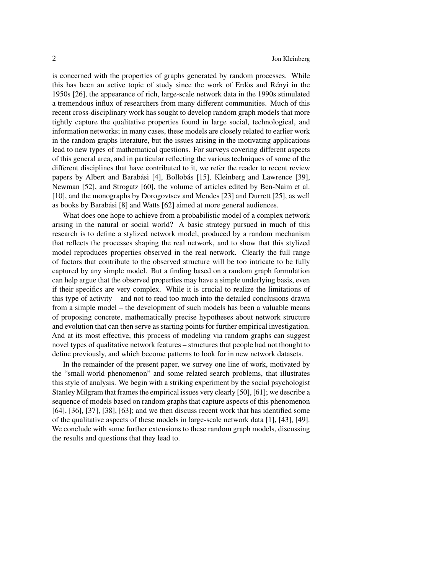is concerned with the properties of graphs generated by random processes. While this has been an active topic of study since the work of Erdös and Rényi in the 1950s [26], the appearance of rich, large-scale network data in the 1990s stimulated a tremendous influx of researchers from many different communities. Much of this recent cross-disciplinary work has sought to develop random graph models that more tightly capture the qualitative properties found in large social, technological, and information networks; in many cases, these models are closely related to earlier work in the random graphs literature, but the issues arising in the motivating applications lead to new types of mathematical questions. For surveys covering different aspects of this general area, and in particular reflecting the various techniques of some of the different disciplines that have contributed to it, we refer the reader to recent review papers by Albert and Barabási [4], Bollobás [15], Kleinberg and Lawrence [39], Newman [52], and Strogatz [60], the volume of articles edited by Ben-Naim et al. [10], and the monographs by Dorogovtsev and Mendes [23] and Durrett [25], as well as books by Barabási [8] and Watts [62] aimed at more general audiences.

What does one hope to achieve from a probabilistic model of a complex network arising in the natural or social world? A basic strategy pursued in much of this research is to define a stylized network model, produced by a random mechanism that reflects the processes shaping the real network, and to show that this stylized model reproduces properties observed in the real network. Clearly the full range of factors that contribute to the observed structure will be too intricate to be fully captured by any simple model. But a finding based on a random graph formulation can help argue that the observed properties may have a simple underlying basis, even if their specifics are very complex. While it is crucial to realize the limitations of this type of activity – and not to read too much into the detailed conclusions drawn from a simple model – the development of such models has been a valuable means of proposing concrete, mathematically precise hypotheses about network structure and evolution that can then serve as starting points for further empirical investigation. And at its most effective, this process of modeling via random graphs can suggest novel types of qualitative network features – structures that people had not thought to define previously, and which become patterns to look for in new network datasets.

In the remainder of the present paper, we survey one line of work, motivated by the "small-world phenomenon" and some related search problems, that illustrates this style of analysis. We begin with a striking experiment by the social psychologist Stanley Milgram that frames the empirical issues very clearly [50], [61]; we describe a sequence of models based on random graphs that capture aspects of this phenomenon [64], [36], [37], [38], [63]; and we then discuss recent work that has identified some of the qualitative aspects of these models in large-scale network data [1], [43], [49]. We conclude with some further extensions to these random graph models, discussing the results and questions that they lead to.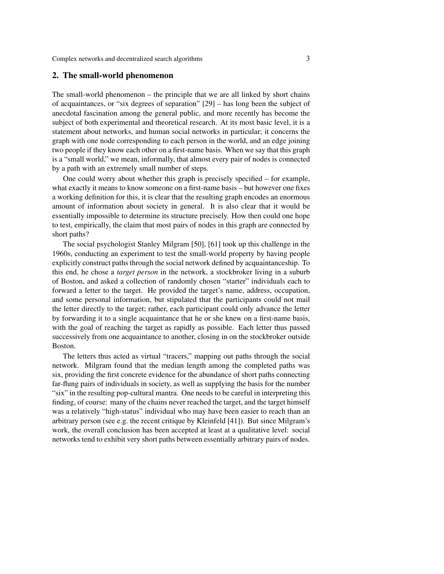# **2. The small-world phenomenon**

The small-world phenomenon – the principle that we are all linked by short chains of acquaintances, or "six degrees of separation" [29] – has long been the subject of anecdotal fascination among the general public, and more recently has become the subject of both experimental and theoretical research. At its most basic level, it is a statement about networks, and human social networks in particular; it concerns the graph with one node corresponding to each person in the world, and an edge joining two people if they know each other on a first-name basis. When we say that this graph is a "small world," we mean, informally, that almost every pair of nodes is connected by a path with an extremely small number of steps.

One could worry about whether this graph is precisely specified – for example, what exactly it means to know someone on a first-name basis – but however one fixes a working definition for this, it is clear that the resulting graph encodes an enormous amount of information about society in general. It is also clear that it would be essentially impossible to determine its structure precisely. How then could one hope to test, empirically, the claim that most pairs of nodes in this graph are connected by short paths?

The social psychologist Stanley Milgram [50], [61] took up this challenge in the 1960s, conducting an experiment to test the small-world property by having people explicitly construct paths through the social network defined by acquaintanceship. To this end, he chose a *target person* in the network, a stockbroker living in a suburb of Boston, and asked a collection of randomly chosen "starter" individuals each to forward a letter to the target. He provided the target's name, address, occupation, and some personal information, but stipulated that the participants could not mail the letter directly to the target; rather, each participant could only advance the letter by forwarding it to a single acquaintance that he or she knew on a first-name basis, with the goal of reaching the target as rapidly as possible. Each letter thus passed successively from one acquaintance to another, closing in on the stockbroker outside Boston.

The letters thus acted as virtual "tracers," mapping out paths through the social network. Milgram found that the median length among the completed paths was six, providing the first concrete evidence for the abundance of short paths connecting far-flung pairs of individuals in society, as well as supplying the basis for the number "six" in the resulting pop-cultural mantra. One needs to be careful in interpreting this finding, of course: many of the chains never reached the target, and the target himself was a relatively "high-status" individual who may have been easier to reach than an arbitrary person (see e.g. the recent critique by Kleinfeld [41]). But since Milgram's work, the overall conclusion has been accepted at least at a qualitative level: social networks tend to exhibit very short paths between essentially arbitrary pairs of nodes.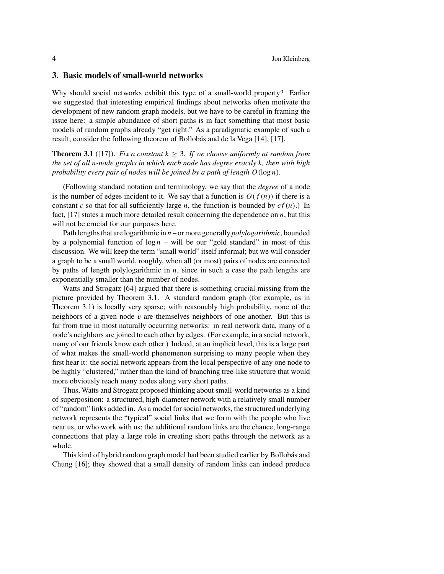# **3. Basic models of small-world networks**

Why should social networks exhibit this type of a small-world property? Earlier we suggested that interesting empirical findings about networks often motivate the development of new random graph models, but we have to be careful in framing the issue here: a simple abundance of short paths is in fact something that most basic models of random graphs already "get right." As a paradigmatic example of such a result, consider the following theorem of Bollobás and de la Vega [14], [17].

**Theorem 3.1** ([17]). *Fix a constant*  $k \geq 3$ *. If we choose uniformly at random from the set of all* n*-node graphs in which each node has degree exactly* k*, then with high probability every pair of nodes will be joined by a path of length* O(log n)*.*

(Following standard notation and terminology, we say that the *degree* of a node is the number of edges incident to it. We say that a function is  $O(f(n))$  if there is a constant c so that for all sufficiently large n, the function is bounded by  $cf(n)$ .) In fact, [17] states a much more detailed result concerning the dependence on  $n$ , but this will not be crucial for our purposes here.

Path lengths that are logarithmic in n – or more generally *polylogarithmic*, bounded by a polynomial function of  $\log n$  – will be our "gold standard" in most of this discussion. We will keep the term "small world" itself informal; but we will consider a graph to be a small world, roughly, when all (or most) pairs of nodes are connected by paths of length polylogarithmic in  $n$ , since in such a case the path lengths are exponentially smaller than the number of nodes.

Watts and Strogatz [64] argued that there is something crucial missing from the picture provided by Theorem 3.1. A standard random graph (for example, as in Theorem 3.1) is locally very sparse; with reasonably high probability, none of the neighbors of a given node  $v$  are themselves neighbors of one another. But this is far from true in most naturally occurring networks: in real network data, many of a node's neighbors are joined to each other by edges. (For example, in a social network, many of our friends know each other.) Indeed, at an implicit level, this is a large part of what makes the small-world phenomenon surprising to many people when they first hear it: the social network appears from the local perspective of any one node to be highly "clustered," rather than the kind of branching tree-like structure that would more obviously reach many nodes along very short paths.

Thus, Watts and Strogatz proposed thinking about small-world networks as a kind of superposition: a structured, high-diameter network with a relatively small number of "random" links added in. As a model for social networks, the structured underlying network represents the "typical" social links that we form with the people who live near us, or who work with us; the additional random links are the chance, long-range connections that play a large role in creating short paths through the network as a whole.

This kind of hybrid random graph model had been studied earlier by Bollobás and Chung [16]; they showed that a small density of random links can indeed produce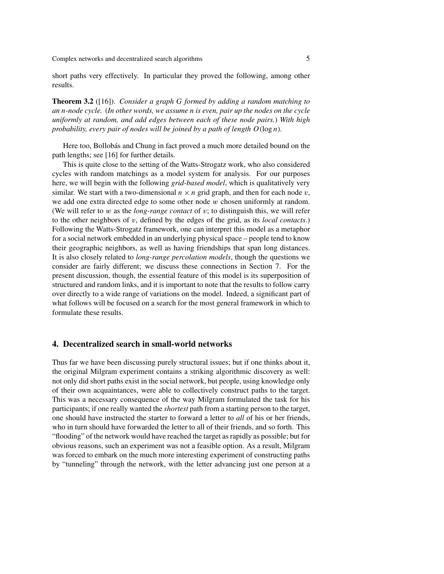short paths very effectively. In particular they proved the following, among other results.

**Theorem 3.2** ([16]). *Consider a graph* G *formed by adding a random matching to an* n*-node cycle.* (*In other words, we assume* n *is even, pair up the nodes on the cycle uniformly at random, and add edges between each of these node pairs.*) *With high probability, every pair of nodes will be joined by a path of length* O(log n)*.*

Here too, Bollobás and Chung in fact proved a much more detailed bound on the path lengths; see [16] for further details.

This is quite close to the setting of the Watts-Strogatz work, who also considered cycles with random matchings as a model system for analysis. For our purposes here, we will begin with the following *grid-based model*, which is qualitatively very similar. We start with a two-dimensional  $n \times n$  grid graph, and then for each node v, we add one extra directed edge to some other node  $w$  chosen uniformly at random. (We will refer to w as the *long-range contact* of v; to distinguish this, we will refer to the other neighbors of v, defined by the edges of the grid, as its *local contacts*.) Following the Watts-Strogatz framework, one can interpret this model as a metaphor for a social network embedded in an underlying physical space – people tend to know their geographic neighbors, as well as having friendships that span long distances. It is also closely related to *long-range percolation models*, though the questions we consider are fairly different; we discuss these connections in Section 7. For the present discussion, though, the essential feature of this model is its superposition of structured and random links, and it is important to note that the results to follow carry over directly to a wide range of variations on the model. Indeed, a significant part of what follows will be focused on a search for the most general framework in which to formulate these results.

### **4. Decentralized search in small-world networks**

Thus far we have been discussing purely structural issues; but if one thinks about it, the original Milgram experiment contains a striking algorithmic discovery as well: not only did short paths exist in the social network, but people, using knowledge only of their own acquaintances, were able to collectively construct paths to the target. This was a necessary consequence of the way Milgram formulated the task for his participants; if one really wanted the *shortest* path from a starting person to the target, one should have instructed the starter to forward a letter to *all* of his or her friends, who in turn should have forwarded the letter to all of their friends, and so forth. This "flooding" of the network would have reached the target as rapidly as possible; but for obvious reasons, such an experiment was not a feasible option. As a result, Milgram was forced to embark on the much more interesting experiment of constructing paths by "tunneling" through the network, with the letter advancing just one person at a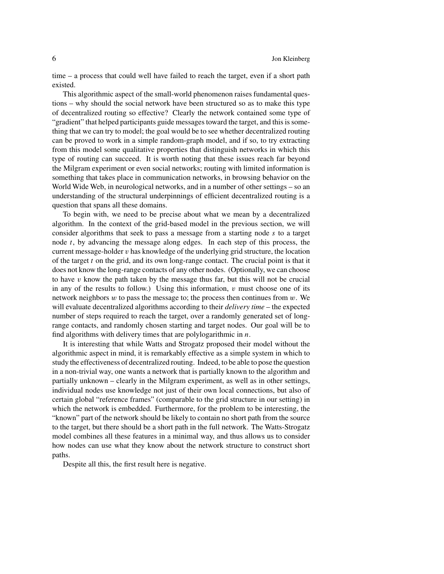time – a process that could well have failed to reach the target, even if a short path existed.

This algorithmic aspect of the small-world phenomenon raises fundamental questions – why should the social network have been structured so as to make this type of decentralized routing so effective? Clearly the network contained some type of "gradient" that helped participants guide messages toward the target, and this is something that we can try to model; the goal would be to see whether decentralized routing can be proved to work in a simple random-graph model, and if so, to try extracting from this model some qualitative properties that distinguish networks in which this type of routing can succeed. It is worth noting that these issues reach far beyond the Milgram experiment or even social networks; routing with limited information is something that takes place in communication networks, in browsing behavior on the World Wide Web, in neurological networks, and in a number of other settings – so an understanding of the structural underpinnings of efficient decentralized routing is a question that spans all these domains.

To begin with, we need to be precise about what we mean by a decentralized algorithm. In the context of the grid-based model in the previous section, we will consider algorithms that seek to pass a message from a starting node s to a target node t, by advancing the message along edges. In each step of this process, the current message-holder  $v$  has knowledge of the underlying grid structure, the location of the target t on the grid, and its own long-range contact. The crucial point is that it does not know the long-range contacts of any other nodes. (Optionally, we can choose to have  $v$  know the path taken by the message thus far, but this will not be crucial in any of the results to follow.) Using this information,  $\nu$  must choose one of its network neighbors w to pass the message to; the process then continues from  $w$ . We will evaluate decentralized algorithms according to their *delivery time* – the expected number of steps required to reach the target, over a randomly generated set of longrange contacts, and randomly chosen starting and target nodes. Our goal will be to find algorithms with delivery times that are polylogarithmic in  $n$ .

It is interesting that while Watts and Strogatz proposed their model without the algorithmic aspect in mind, it is remarkably effective as a simple system in which to study the effectiveness of decentralized routing. Indeed, to be able to pose the question in a non-trivial way, one wants a network that is partially known to the algorithm and partially unknown – clearly in the Milgram experiment, as well as in other settings, individual nodes use knowledge not just of their own local connections, but also of certain global "reference frames" (comparable to the grid structure in our setting) in which the network is embedded. Furthermore, for the problem to be interesting, the "known" part of the network should be likely to contain no short path from the source to the target, but there should be a short path in the full network. The Watts-Strogatz model combines all these features in a minimal way, and thus allows us to consider how nodes can use what they know about the network structure to construct short paths.

Despite all this, the first result here is negative.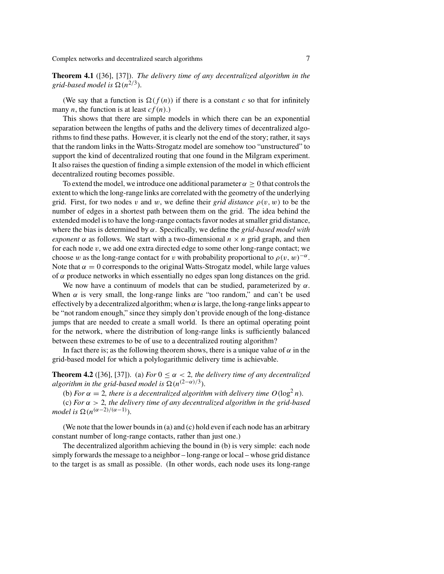**Theorem 4.1** ([36], [37]). *The delivery time of any decentralized algorithm in the*  $grid$ *-based model is*  $\Omega(n^{2/3})$ *.* 

(We say that a function is  $\Omega(f(n))$  if there is a constant c so that for infinitely many *n*, the function is at least  $cf(n)$ .)

This shows that there are simple models in which there can be an exponential separation between the lengths of paths and the delivery times of decentralized algorithms to find these paths. However, it is clearly not the end of the story; rather, it says that the random links in the Watts-Strogatz model are somehow too "unstructured" to support the kind of decentralized routing that one found in the Milgram experiment. It also raises the question of finding a simple extension of the model in which efficient decentralized routing becomes possible.

To extend the model, we introduce one additional parameter  $\alpha > 0$  that controls the extent to which the long-range links are correlated with the geometry of the underlying grid. First, for two nodes v and w, we define their *grid distance*  $\rho(v, w)$  to be the number of edges in a shortest path between them on the grid. The idea behind the extended model is to have the long-range contacts favor nodes at smaller grid distance, where the bias is determined by α. Specifically, we define the *grid-based model with exponent*  $\alpha$  as follows. We start with a two-dimensional  $n \times n$  grid graph, and then for each node  $v$ , we add one extra directed edge to some other long-range contact; we choose w as the long-range contact for v with probability proportional to  $\rho(v, w)^{-\alpha}$ . Note that  $\alpha = 0$  corresponds to the original Watts-Strogatz model, while large values of  $\alpha$  produce networks in which essentially no edges span long distances on the grid.

We now have a continuum of models that can be studied, parameterized by  $\alpha$ . When  $\alpha$  is very small, the long-range links are "too random," and can't be used effectively by a decentralized algorithm; when  $\alpha$  is large, the long-range links appear to be "not random enough," since they simply don't provide enough of the long-distance jumps that are needed to create a small world. Is there an optimal operating point for the network, where the distribution of long-range links is sufficiently balanced between these extremes to be of use to a decentralized routing algorithm?

In fact there is; as the following theorem shows, there is a unique value of  $\alpha$  in the grid-based model for which a polylogarithmic delivery time is achievable.

**Theorem 4.2** ([36], [37]). (a) *For*  $0 \le \alpha < 2$ , *the delivery time of any decentralized algorithm in the grid-based model is*  $\Omega(n^{(2-\alpha)/3})$ *.* 

(b) *For*  $\alpha = 2$ , *there is a decentralized algorithm with delivery time*  $O(\log^2 n)$ *.* 

(c) *For* α > 2*, the delivery time of any decentralized algorithm in the grid-based*  $model$  is  $\Omega(n^{(\alpha-2)/(\alpha-1)})$ .

(We note that the lower bounds in (a) and (c) hold even if each node has an arbitrary constant number of long-range contacts, rather than just one.)

The decentralized algorithm achieving the bound in (b) is very simple: each node simply forwards the message to a neighbor – long-range or local – whose grid distance to the target is as small as possible. (In other words, each node uses its long-range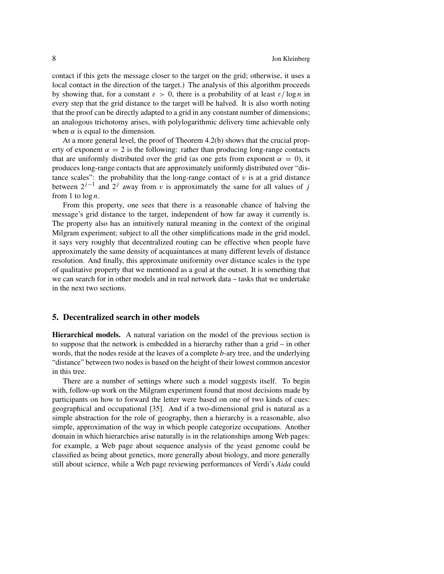contact if this gets the message closer to the target on the grid; otherwise, it uses a local contact in the direction of the target.) The analysis of this algorithm proceeds by showing that, for a constant  $\varepsilon > 0$ , there is a probability of at least  $\varepsilon / \log n$  in every step that the grid distance to the target will be halved. It is also worth noting that the proof can be directly adapted to a grid in any constant number of dimensions; an analogous trichotomy arises, with polylogarithmic delivery time achievable only when  $\alpha$  is equal to the dimension.

At a more general level, the proof of Theorem 4.2(b) shows that the crucial property of exponent  $\alpha = 2$  is the following: rather than producing long-range contacts that are uniformly distributed over the grid (as one gets from exponent  $\alpha = 0$ ), it produces long-range contacts that are approximately uniformly distributed over "distance scales": the probability that the long-range contact of  $v$  is at a grid distance between  $2^{j-1}$  and  $2^j$  away from v is approximately the same for all values of j from 1 to  $\log n$ .

From this property, one sees that there is a reasonable chance of halving the message's grid distance to the target, independent of how far away it currently is. The property also has an intuitively natural meaning in the context of the original Milgram experiment; subject to all the other simplifications made in the grid model, it says very roughly that decentralized routing can be effective when people have approximately the same density of acquaintances at many different levels of distance resolution. And finally, this approximate uniformity over distance scales is the type of qualitative property that we mentioned as a goal at the outset. It is something that we can search for in other models and in real network data – tasks that we undertake in the next two sections.

## **5. Decentralized search in other models**

**Hierarchical models.** A natural variation on the model of the previous section is to suppose that the network is embedded in a hierarchy rather than a grid – in other words, that the nodes reside at the leaves of a complete  $b$ -ary tree, and the underlying "distance" between two nodes is based on the height of their lowest common ancestor in this tree.

There are a number of settings where such a model suggests itself. To begin with, follow-up work on the Milgram experiment found that most decisions made by participants on how to forward the letter were based on one of two kinds of cues: geographical and occupational [35]. And if a two-dimensional grid is natural as a simple abstraction for the role of geography, then a hierarchy is a reasonable, also simple, approximation of the way in which people categorize occupations. Another domain in which hierarchies arise naturally is in the relationships among Web pages: for example, a Web page about sequence analysis of the yeast genome could be classified as being about genetics, more generally about biology, and more generally still about science, while a Web page reviewing performances of Verdi's *Aida* could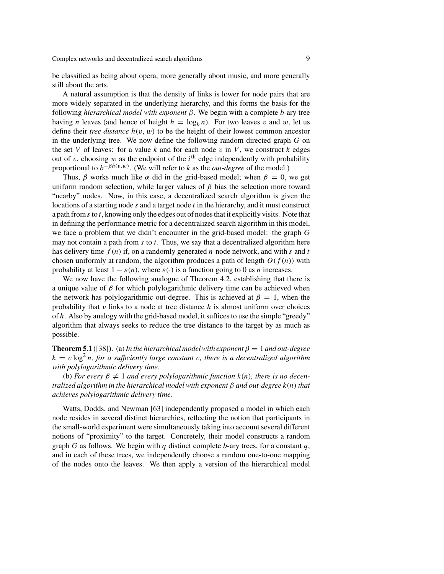be classified as being about opera, more generally about music, and more generally still about the arts.

A natural assumption is that the density of links is lower for node pairs that are more widely separated in the underlying hierarchy, and this forms the basis for the following *hierarchical model with exponent* β. We begin with a complete b-ary tree having *n* leaves (and hence of height  $h = \log_b n$ ). For two leaves v and w, let us define their *tree distance*  $h(v, w)$  to be the height of their lowest common ancestor in the underlying tree. We now define the following random directed graph  $G$  on the set V of leaves: for a value k and for each node v in V, we construct k edges out of v, choosing w as the endpoint of the  $i<sup>th</sup>$  edge independently with probability proportional to  $b^{-\beta h(v,w)}$ . (We will refer to k as the *out-degree* of the model.)

Thus,  $\beta$  works much like  $\alpha$  did in the grid-based model; when  $\beta = 0$ , we get uniform random selection, while larger values of  $\beta$  bias the selection more toward "nearby" nodes. Now, in this case, a decentralized search algorithm is given the locations of a starting node s and a target node  $t$  in the hierarchy, and it must construct a path froms to t, knowing only the edges out of nodes that it explicitly visits. Note that in defining the performance metric for a decentralized search algorithm in this model, we face a problem that we didn't encounter in the grid-based model: the graph G may not contain a path from  $s$  to  $t$ . Thus, we say that a decentralized algorithm here has delivery time  $f(n)$  if, on a randomly generated *n*-node network, and with *s* and *t* chosen uniformly at random, the algorithm produces a path of length  $O(f(n))$  with probability at least  $1 - \varepsilon(n)$ , where  $\varepsilon(\cdot)$  is a function going to 0 as *n* increases.

We now have the following analogue of Theorem 4.2, establishing that there is a unique value of  $\beta$  for which polylogarithmic delivery time can be achieved when the network has polylogarithmic out-degree. This is achieved at  $\beta = 1$ , when the probability that  $v$  links to a node at tree distance  $h$  is almost uniform over choices of  $h$ . Also by analogy with the grid-based model, it suffices to use the simple "greedy" algorithm that always seeks to reduce the tree distance to the target by as much as possible.

**Theorem 5.1** ([38]). (a) In the hierarchical model with exponent  $\beta = 1$  and out-degree  $k = c \log^2 n$ , for a sufficiently large constant c, there is a decentralized algorithm *with polylogarithmic delivery time.*

(b) *For every*  $\beta \neq 1$  *and every polylogarithmic function*  $k(n)$ *, there is no decentralized algorithm in the hierarchical model with exponent* β *and out-degree* k(n) *that achieves polylogarithmic delivery time.*

Watts, Dodds, and Newman [63] independently proposed a model in which each node resides in several distinct hierarchies, reflecting the notion that participants in the small-world experiment were simultaneously taking into account several different notions of "proximity" to the target. Concretely, their model constructs a random graph G as follows. We begin with q distinct complete b-ary trees, for a constant q, and in each of these trees, we independently choose a random one-to-one mapping of the nodes onto the leaves. We then apply a version of the hierarchical model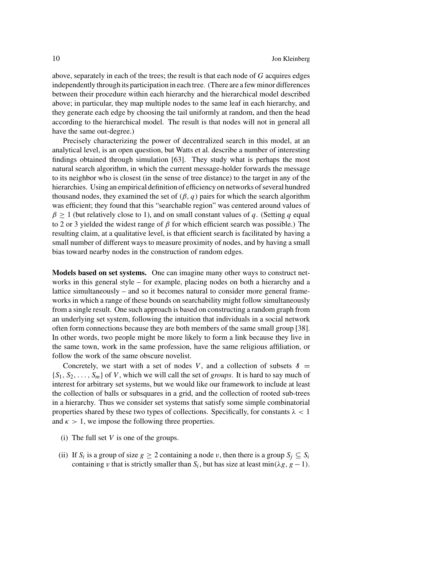above, separately in each of the trees; the result is that each node of G acquires edges independently through its participation in each tree. (There are a few minor differences between their procedure within each hierarchy and the hierarchical model described above; in particular, they map multiple nodes to the same leaf in each hierarchy, and they generate each edge by choosing the tail uniformly at random, and then the head according to the hierarchical model. The result is that nodes will not in general all have the same out-degree.)

Precisely characterizing the power of decentralized search in this model, at an analytical level, is an open question, but Watts et al. describe a number of interesting findings obtained through simulation [63]. They study what is perhaps the most natural search algorithm, in which the current message-holder forwards the message to its neighbor who is closest (in the sense of tree distance) to the target in any of the hierarchies. Using an empirical definition of efficiency on networks of several hundred thousand nodes, they examined the set of  $(\beta, q)$  pairs for which the search algorithm was efficient; they found that this "searchable region" was centered around values of  $\beta \geq 1$  (but relatively close to 1), and on small constant values of q. (Setting q equal to 2 or 3 yielded the widest range of  $\beta$  for which efficient search was possible.) The resulting claim, at a qualitative level, is that efficient search is facilitated by having a small number of different ways to measure proximity of nodes, and by having a small bias toward nearby nodes in the construction of random edges.

**Models based on set systems.** One can imagine many other ways to construct networks in this general style – for example, placing nodes on both a hierarchy and a lattice simultaneously – and so it becomes natural to consider more general frameworks in which a range of these bounds on searchability might follow simultaneously from a single result. One such approach is based on constructing a random graph from an underlying set system, following the intuition that individuals in a social network often form connections because they are both members of the same small group [38]. In other words, two people might be more likely to form a link because they live in the same town, work in the same profession, have the same religious affiliation, or follow the work of the same obscure novelist.

Concretely, we start with a set of nodes V, and a collection of subsets  $\delta$  =  ${S_1, S_2, \ldots, S_m}$  of V, which we will call the set of *groups*. It is hard to say much of interest for arbitrary set systems, but we would like our framework to include at least the collection of balls or subsquares in a grid, and the collection of rooted sub-trees in a hierarchy. Thus we consider set systems that satisfy some simple combinatorial properties shared by these two types of collections. Specifically, for constants  $\lambda < 1$ and  $\kappa > 1$ , we impose the following three properties.

- (i) The full set  $V$  is one of the groups.
- (ii) If  $S_i$  is a group of size  $g \ge 2$  containing a node v, then there is a group  $S_i \subseteq S_i$ containing v that is strictly smaller than  $S_i$ , but has size at least min( $\lambda g$ , g – 1).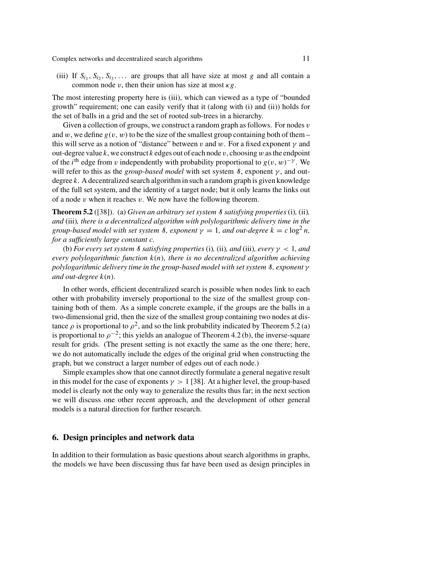(iii) If  $S_{i_1}, S_{i_2}, S_{i_3}, \ldots$  are groups that all have size at most g and all contain a common node v, then their union has size at most  $\kappa g$ .

The most interesting property here is (iii), which can viewed as a type of "bounded growth" requirement; one can easily verify that it (along with (i) and (ii)) holds for the set of balls in a grid and the set of rooted sub-trees in a hierarchy.

Given a collection of groups, we construct a random graph as follows. For nodes  $v$ and w, we define  $g(v, w)$  to be the size of the smallest group containing both of them – this will serve as a notion of "distance" between v and w. For a fixed exponent  $\gamma$  and out-degree value k, we construct k edges out of each node v, choosing w as the endpoint of the i<sup>th</sup> edge from v independently with probability proportional to  $g(v, w)^{-\gamma}$ . We will refer to this as the *group-based model* with set system  $\delta$ , exponent  $\gamma$ , and outdegree  $k$ . A decentralized search algorithm in such a random graph is given knowledge of the full set system, and the identity of a target node; but it only learns the links out of a node  $v$  when it reaches  $v$ . We now have the following theorem.

**Theorem 5.2** ([38]). (a) *Given an arbitrary set system* S *satisfying properties* (i)*,* (ii)*, and* (iii)*, there is a decentralized algorithm with polylogarithmic delivery time in the group-based model with set system 8, exponent*  $\gamma = 1$ *, and out-degree*  $k = c \log^2 n$ *, for a sufficiently large constant* c*.*

(b) *For every set system*  $\delta$  *satisfying properties* (i), (ii), and (iii), every  $\gamma < 1$ , and *every polylogarithmic function* k(n)*, there is no decentralized algorithm achieving polylogarithmic delivery time in the group-based model with set system* S*, exponent* γ *and out-degree* k(n)*.*

In other words, efficient decentralized search is possible when nodes link to each other with probability inversely proportional to the size of the smallest group containing both of them. As a simple concrete example, if the groups are the balls in a two-dimensional grid, then the size of the smallest group containing two nodes at distance  $\rho$  is proportional to  $\rho^2$ , and so the link probability indicated by Theorem 5.2 (a) is proportional to  $\rho^{-2}$ ; this yields an analogue of Theorem 4.2 (b), the inverse-square result for grids. (The present setting is not exactly the same as the one there; here, we do not automatically include the edges of the original grid when constructing the graph, but we construct a larger number of edges out of each node.)

Simple examples show that one cannot directly formulate a general negative result in this model for the case of exponents  $\gamma > 1$  [38]. At a higher level, the group-based model is clearly not the only way to generalize the results thus far; in the next section we will discuss one other recent approach, and the development of other general models is a natural direction for further research.

## **6. Design principles and network data**

In addition to their formulation as basic questions about search algorithms in graphs, the models we have been discussing thus far have been used as design principles in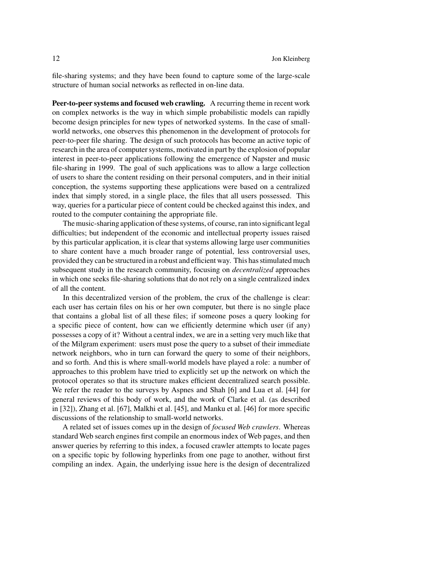file-sharing systems; and they have been found to capture some of the large-scale structure of human social networks as reflected in on-line data.

**Peer-to-peer systems and focused web crawling.** A recurring theme in recent work on complex networks is the way in which simple probabilistic models can rapidly become design principles for new types of networked systems. In the case of smallworld networks, one observes this phenomenon in the development of protocols for peer-to-peer file sharing. The design of such protocols has become an active topic of research in the area of computer systems, motivated in part by the explosion of popular interest in peer-to-peer applications following the emergence of Napster and music file-sharing in 1999. The goal of such applications was to allow a large collection of users to share the content residing on their personal computers, and in their initial conception, the systems supporting these applications were based on a centralized index that simply stored, in a single place, the files that all users possessed. This way, queries for a particular piece of content could be checked against this index, and routed to the computer containing the appropriate file.

The music-sharing application of these systems, of course, ran into significant legal difficulties; but independent of the economic and intellectual property issues raised by this particular application, it is clear that systems allowing large user communities to share content have a much broader range of potential, less controversial uses, provided they can be structured in a robust and efficient way. This has stimulated much subsequent study in the research community, focusing on *decentralized* approaches in which one seeks file-sharing solutions that do not rely on a single centralized index of all the content.

In this decentralized version of the problem, the crux of the challenge is clear: each user has certain files on his or her own computer, but there is no single place that contains a global list of all these files; if someone poses a query looking for a specific piece of content, how can we efficiently determine which user (if any) possesses a copy of it? Without a central index, we are in a setting very much like that of the Milgram experiment: users must pose the query to a subset of their immediate network neighbors, who in turn can forward the query to some of their neighbors, and so forth. And this is where small-world models have played a role: a number of approaches to this problem have tried to explicitly set up the network on which the protocol operates so that its structure makes efficient decentralized search possible. We refer the reader to the surveys by Aspnes and Shah [6] and Lua et al. [44] for general reviews of this body of work, and the work of Clarke et al. (as described in [32]), Zhang et al. [67], Malkhi et al. [45], and Manku et al. [46] for more specific discussions of the relationship to small-world networks.

A related set of issues comes up in the design of *focused Web crawlers*. Whereas standard Web search engines first compile an enormous index of Web pages, and then answer queries by referring to this index, a focused crawler attempts to locate pages on a specific topic by following hyperlinks from one page to another, without first compiling an index. Again, the underlying issue here is the design of decentralized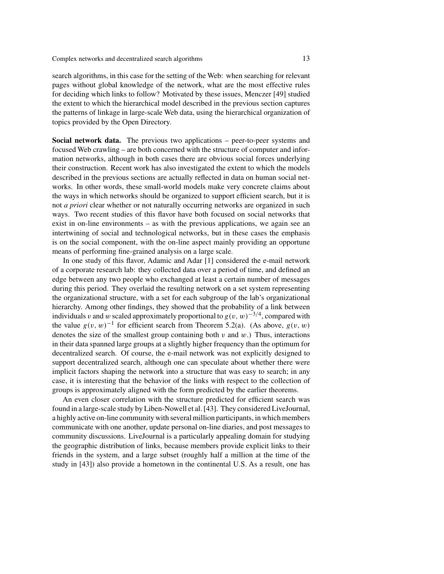search algorithms, in this case for the setting of the Web: when searching for relevant pages without global knowledge of the network, what are the most effective rules for deciding which links to follow? Motivated by these issues, Menczer [49] studied the extent to which the hierarchical model described in the previous section captures the patterns of linkage in large-scale Web data, using the hierarchical organization of topics provided by the Open Directory.

**Social network data.** The previous two applications – peer-to-peer systems and focused Web crawling – are both concerned with the structure of computer and information networks, although in both cases there are obvious social forces underlying their construction. Recent work has also investigated the extent to which the models described in the previous sections are actually reflected in data on human social networks. In other words, these small-world models make very concrete claims about the ways in which networks should be organized to support efficient search, but it is not *a priori* clear whether or not naturally occurring networks are organized in such ways. Two recent studies of this flavor have both focused on social networks that exist in on-line environments – as with the previous applications, we again see an intertwining of social and technological networks, but in these cases the emphasis is on the social component, with the on-line aspect mainly providing an opportune means of performing fine-grained analysis on a large scale.

In one study of this flavor, Adamic and Adar [1] considered the e-mail network of a corporate research lab: they collected data over a period of time, and defined an edge between any two people who exchanged at least a certain number of messages during this period. They overlaid the resulting network on a set system representing the organizational structure, with a set for each subgroup of the lab's organizational hierarchy. Among other findings, they showed that the probability of a link between individuals v and w scaled approximately proportional to  $g(v, w)^{-3/4}$ , compared with the value  $g(v, w)^{-1}$  for efficient search from Theorem 5.2(a). (As above,  $g(v, w)$ denotes the size of the smallest group containing both  $v$  and  $w$ .) Thus, interactions in their data spanned large groups at a slightly higher frequency than the optimum for decentralized search. Of course, the e-mail network was not explicitly designed to support decentralized search, although one can speculate about whether there were implicit factors shaping the network into a structure that was easy to search; in any case, it is interesting that the behavior of the links with respect to the collection of groups is approximately aligned with the form predicted by the earlier theorems.

An even closer correlation with the structure predicted for efficient search was found in a large-scale study by Liben-Nowell et al. [43]. They considered LiveJournal, a highly active on-line community with several million participants, in which members communicate with one another, update personal on-line diaries, and post messages to community discussions. LiveJournal is a particularly appealing domain for studying the geographic distribution of links, because members provide explicit links to their friends in the system, and a large subset (roughly half a million at the time of the study in [43]) also provide a hometown in the continental U.S. As a result, one has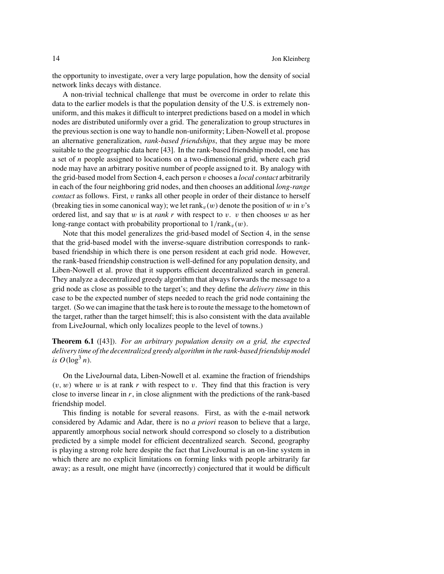the opportunity to investigate, over a very large population, how the density of social network links decays with distance.

A non-trivial technical challenge that must be overcome in order to relate this data to the earlier models is that the population density of the U.S. is extremely nonuniform, and this makes it difficult to interpret predictions based on a model in which nodes are distributed uniformly over a grid. The generalization to group structures in the previous section is one way to handle non-uniformity; Liben-Nowell et al. propose an alternative generalization, *rank-based friendships*, that they argue may be more suitable to the geographic data here [43]. In the rank-based friendship model, one has a set of  $n$  people assigned to locations on a two-dimensional grid, where each grid node may have an arbitrary positive number of people assigned to it. By analogy with the grid-based model from Section 4, each person v chooses a *local contact* arbitrarily in each of the four neighboring grid nodes, and then chooses an additional *long-range contact* as follows. First, v ranks all other people in order of their distance to herself (breaking ties in some canonical way); we let rank,  $(w)$  denote the position of w in v's ordered list, and say that  $w$  is at *rank*  $r$  with respect to  $v$ .  $v$  then chooses  $w$  as her long-range contact with probability proportional to  $1/\text{rank}_{v}(w)$ .

Note that this model generalizes the grid-based model of Section 4, in the sense that the grid-based model with the inverse-square distribution corresponds to rankbased friendship in which there is one person resident at each grid node. However, the rank-based friendship construction is well-defined for any population density, and Liben-Nowell et al. prove that it supports efficient decentralized search in general. They analyze a decentralized greedy algorithm that always forwards the message to a grid node as close as possible to the target's; and they define the *delivery time* in this case to be the expected number of steps needed to reach the grid node containing the target. (So we can imagine that the task here is to route the message to the hometown of the target, rather than the target himself; this is also consistent with the data available from LiveJournal, which only localizes people to the level of towns.)

**Theorem 6.1** ([43]). *For an arbitrary population density on a grid, the expected delivery time of the decentralized greedy algorithm in the rank-based friendship model is*  $O(\log^3 n)$ .

On the LiveJournal data, Liben-Nowell et al. examine the fraction of friendships  $(v, w)$  where w is at rank r with respect to v. They find that this fraction is very close to inverse linear in  $r$ , in close alignment with the predictions of the rank-based friendship model.

This finding is notable for several reasons. First, as with the e-mail network considered by Adamic and Adar, there is no *a priori* reason to believe that a large, apparently amorphous social network should correspond so closely to a distribution predicted by a simple model for efficient decentralized search. Second, geography is playing a strong role here despite the fact that LiveJournal is an on-line system in which there are no explicit limitations on forming links with people arbitrarily far away; as a result, one might have (incorrectly) conjectured that it would be difficult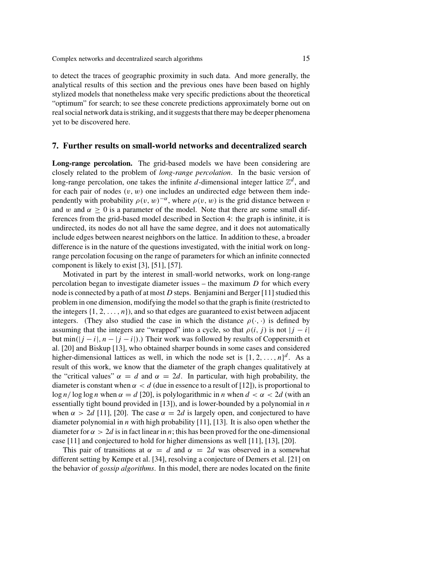to detect the traces of geographic proximity in such data. And more generally, the analytical results of this section and the previous ones have been based on highly stylized models that nonetheless make very specific predictions about the theoretical "optimum" for search; to see these concrete predictions approximately borne out on real social network data is striking, and it suggests that there may be deeper phenomena yet to be discovered here.

#### **7. Further results on small-world networks and decentralized search**

**Long-range percolation.** The grid-based models we have been considering are closely related to the problem of *long-range percolation*. In the basic version of long-range percolation, one takes the infinite d-dimensional integer lattice  $\mathbb{Z}^d$ . and for each pair of nodes  $(v, w)$  one includes an undirected edge between them independently with probability  $\rho(v, w)^{-\alpha}$ , where  $\rho(v, w)$  is the grid distance between v and w and  $\alpha > 0$  is a parameter of the model. Note that there are some small differences from the grid-based model described in Section 4: the graph is infinite, it is undirected, its nodes do not all have the same degree, and it does not automatically include edges between nearest neighbors on the lattice. In addition to these, a broader difference is in the nature of the questions investigated, with the initial work on longrange percolation focusing on the range of parameters for which an infinite connected component is likely to exist [3], [51], [57].

Motivated in part by the interest in small-world networks, work on long-range percolation began to investigate diameter issues – the maximum  $D$  for which every node is connected by a path of at most D steps. Benjamini and Berger [11] studied this problem in one dimension, modifying the model so that the graph is finite (restricted to the integers  $\{1, 2, \ldots, n\}$ , and so that edges are guaranteed to exist between adjacent integers. (They also studied the case in which the distance  $\rho(\cdot, \cdot)$  is defined by assuming that the integers are "wrapped" into a cycle, so that  $\rho(i, j)$  is not  $|j - i|$ but min( $|j - i|$ ,  $n - |j - i|$ ).) Their work was followed by results of Coppersmith et al. [20] and Biskup [13], who obtained sharper bounds in some cases and considered higher-dimensional lattices as well, in which the node set is  $\{1, 2, ..., n\}^d$ . As a result of this work, we know that the diameter of the graph changes qualitatively at the "critical values"  $\alpha = d$  and  $\alpha = 2d$ . In particular, with high probability, the diameter is constant when  $\alpha < d$  (due in essence to a result of [12]), is proportional to  $\log n / \log \log n$  when  $\alpha = d$  [20], is polylogarithmic in n when  $d < \alpha < 2d$  (with an essentially tight bound provided in [13]), and is lower-bounded by a polynomial in  $n$ when  $\alpha > 2d$  [11], [20]. The case  $\alpha = 2d$  is largely open, and conjectured to have diameter polynomial in *n* with high probability [11], [13]. It is also open whether the diameter for  $\alpha > 2d$  is in fact linear in n; this has been proved for the one-dimensional case [11] and conjectured to hold for higher dimensions as well [11], [13], [20].

This pair of transitions at  $\alpha = d$  and  $\alpha = 2d$  was observed in a somewhat different setting by Kempe et al. [34], resolving a conjecture of Demers et al. [21] on the behavior of *gossip algorithms*. In this model, there are nodes located on the finite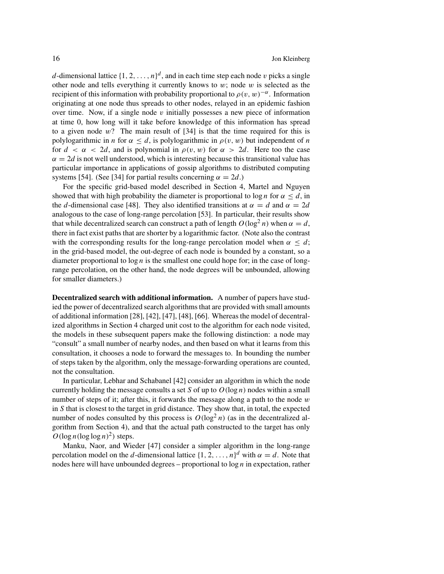d-dimensional lattice  $\{1, 2, ..., n\}^d$ , and in each time step each node v picks a single other node and tells everything it currently knows to  $w$ ; node  $w$  is selected as the recipient of this information with probability proportional to  $\rho(v, w)^{-\alpha}$ . Information originating at one node thus spreads to other nodes, relayed in an epidemic fashion over time. Now, if a single node v initially possesses a new piece of information at time 0, how long will it take before knowledge of this information has spread to a given node  $w$ ? The main result of [34] is that the time required for this is polylogarithmic in n for  $\alpha < d$ , is polylogarithmic in  $\rho(v, w)$  but independent of n for  $d < \alpha < 2d$ , and is polynomial in  $\rho(v, w)$  for  $\alpha > 2d$ . Here too the case  $\alpha = 2d$  is not well understood, which is interesting because this transitional value has particular importance in applications of gossip algorithms to distributed computing systems [54]. (See [34] for partial results concerning  $\alpha = 2d$ .)

For the specific grid-based model described in Section 4, Martel and Nguyen showed that with high probability the diameter is proportional to  $\log n$  for  $\alpha \le d$ , in the d-dimensional case [48]. They also identified transitions at  $\alpha = d$  and  $\alpha = 2d$ analogous to the case of long-range percolation [53]. In particular, their results show that while decentralized search can construct a path of length  $O(\log^2 n)$  when  $\alpha = d$ , there in fact exist paths that are shorter by a logarithmic factor. (Note also the contrast with the corresponding results for the long-range percolation model when  $\alpha < d$ ; in the grid-based model, the out-degree of each node is bounded by a constant, so a diameter proportional to  $\log n$  is the smallest one could hope for; in the case of longrange percolation, on the other hand, the node degrees will be unbounded, allowing for smaller diameters.)

**Decentralized search with additional information.** A number of papers have studied the power of decentralized search algorithms that are provided with small amounts of additional information [28], [42], [47], [48], [66]. Whereas the model of decentralized algorithms in Section 4 charged unit cost to the algorithm for each node visited, the models in these subsequent papers make the following distinction: a node may "consult" a small number of nearby nodes, and then based on what it learns from this consultation, it chooses a node to forward the messages to. In bounding the number of steps taken by the algorithm, only the message-forwarding operations are counted, not the consultation.

In particular, Lebhar and Schabanel [42] consider an algorithm in which the node currently holding the message consults a set S of up to  $O(\log n)$  nodes within a small number of steps of it; after this, it forwards the message along a path to the node  $w$ in S that is closest to the target in grid distance. They show that, in total, the expected number of nodes consulted by this process is  $O(\log^2 n)$  (as in the decentralized algorithm from Section 4), and that the actual path constructed to the target has only  $O(\log n(\log \log n)^2)$  steps.

Manku, Naor, and Wieder [47] consider a simpler algorithm in the long-range percolation model on the d-dimensional lattice  $\{1, 2, ..., n\}^d$  with  $\alpha = d$ . Note that nodes here will have unbounded degrees – proportional to  $\log n$  in expectation, rather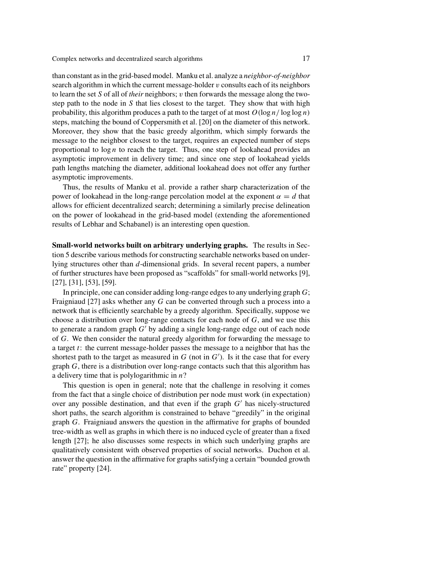than constant as in the grid-based model. Manku et al. analyze a *neighbor-of-neighbor* search algorithm in which the current message-holder  $v$  consults each of its neighbors to learn the set S of all of *their* neighbors; v then forwards the message along the twostep path to the node in S that lies closest to the target. They show that with high probability, this algorithm produces a path to the target of at most  $O(\log n / \log \log n)$ steps, matching the bound of Coppersmith et al. [20] on the diameter of this network. Moreover, they show that the basic greedy algorithm, which simply forwards the message to the neighbor closest to the target, requires an expected number of steps proportional to  $\log n$  to reach the target. Thus, one step of lookahead provides an asymptotic improvement in delivery time; and since one step of lookahead yields path lengths matching the diameter, additional lookahead does not offer any further asymptotic improvements.

Thus, the results of Manku et al. provide a rather sharp characterization of the power of lookahead in the long-range percolation model at the exponent  $\alpha = d$  that allows for efficient decentralized search; determining a similarly precise delineation on the power of lookahead in the grid-based model (extending the aforementioned results of Lebhar and Schabanel) is an interesting open question.

**Small-world networks built on arbitrary underlying graphs.** The results in Section 5 describe various methods for constructing searchable networks based on underlying structures other than  $d$ -dimensional grids. In several recent papers, a number of further structures have been proposed as "scaffolds" for small-world networks [9], [27], [31], [53], [59].

In principle, one can consider adding long-range edges to any underlying graph  $G$ ; Fraigniaud  $[27]$  asks whether any G can be converted through such a process into a network that is efficiently searchable by a greedy algorithm. Specifically, suppose we choose a distribution over long-range contacts for each node of  $G$ , and we use this to generate a random graph  $G'$  by adding a single long-range edge out of each node of G. We then consider the natural greedy algorithm for forwarding the message to a target t: the current message-holder passes the message to a neighbor that has the shortest path to the target as measured in  $G$  (not in  $G'$ ). Is it the case that for every graph G, there is a distribution over long-range contacts such that this algorithm has a delivery time that is polylogarithmic in  $n$ ?

This question is open in general; note that the challenge in resolving it comes from the fact that a single choice of distribution per node must work (in expectation) over any possible destination, and that even if the graph  $G'$  has nicely-structured short paths, the search algorithm is constrained to behave "greedily" in the original graph G. Fraigniaud answers the question in the affirmative for graphs of bounded tree-width as well as graphs in which there is no induced cycle of greater than a fixed length [27]; he also discusses some respects in which such underlying graphs are qualitatively consistent with observed properties of social networks. Duchon et al. answer the question in the affirmative for graphs satisfying a certain "bounded growth rate" property [24].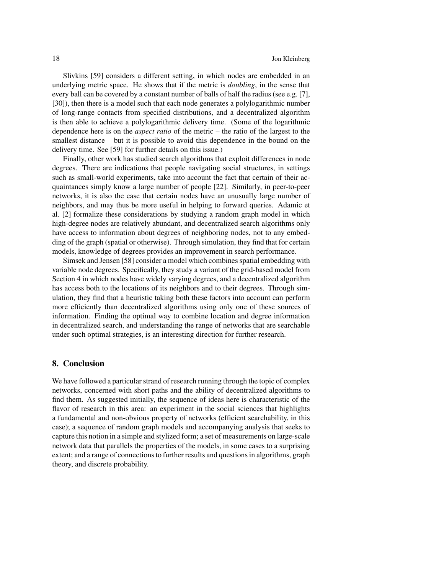Slivkins [59] considers a different setting, in which nodes are embedded in an underlying metric space. He shows that if the metric is *doubling*, in the sense that every ball can be covered by a constant number of balls of half the radius (see e.g. [7], [30]), then there is a model such that each node generates a polylogarithmic number of long-range contacts from specified distributions, and a decentralized algorithm is then able to achieve a polylogarithmic delivery time. (Some of the logarithmic dependence here is on the *aspect ratio* of the metric – the ratio of the largest to the smallest distance – but it is possible to avoid this dependence in the bound on the delivery time. See [59] for further details on this issue.)

Finally, other work has studied search algorithms that exploit differences in node degrees. There are indications that people navigating social structures, in settings such as small-world experiments, take into account the fact that certain of their acquaintances simply know a large number of people [22]. Similarly, in peer-to-peer networks, it is also the case that certain nodes have an unusually large number of neighbors, and may thus be more useful in helping to forward queries. Adamic et al. [2] formalize these considerations by studying a random graph model in which high-degree nodes are relatively abundant, and decentralized search algorithms only have access to information about degrees of neighboring nodes, not to any embedding of the graph (spatial or otherwise). Through simulation, they find that for certain models, knowledge of degrees provides an improvement in search performance.

Simsek and Jensen [58] consider a model which combines spatial embedding with variable node degrees. Specifically, they study a variant of the grid-based model from Section 4 in which nodes have widely varying degrees, and a decentralized algorithm has access both to the locations of its neighbors and to their degrees. Through simulation, they find that a heuristic taking both these factors into account can perform more efficiently than decentralized algorithms using only one of these sources of information. Finding the optimal way to combine location and degree information in decentralized search, and understanding the range of networks that are searchable under such optimal strategies, is an interesting direction for further research.

## **8. Conclusion**

We have followed a particular strand of research running through the topic of complex networks, concerned with short paths and the ability of decentralized algorithms to find them. As suggested initially, the sequence of ideas here is characteristic of the flavor of research in this area: an experiment in the social sciences that highlights a fundamental and non-obvious property of networks (efficient searchability, in this case); a sequence of random graph models and accompanying analysis that seeks to capture this notion in a simple and stylized form; a set of measurements on large-scale network data that parallels the properties of the models, in some cases to a surprising extent; and a range of connections to further results and questions in algorithms, graph theory, and discrete probability.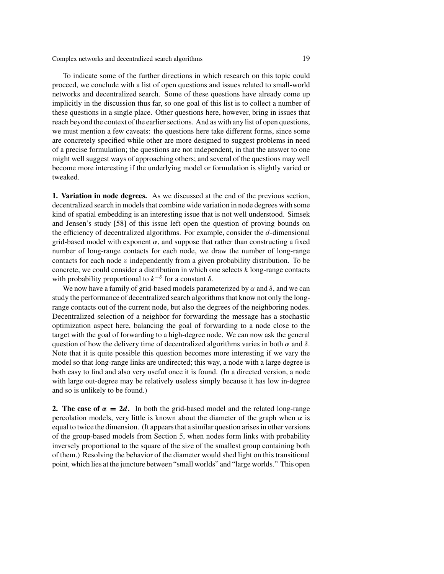To indicate some of the further directions in which research on this topic could proceed, we conclude with a list of open questions and issues related to small-world networks and decentralized search. Some of these questions have already come up implicitly in the discussion thus far, so one goal of this list is to collect a number of these questions in a single place. Other questions here, however, bring in issues that reach beyond the context of the earlier sections. And as with any list of open questions, we must mention a few caveats: the questions here take different forms, since some are concretely specified while other are more designed to suggest problems in need of a precise formulation; the questions are not independent, in that the answer to one might well suggest ways of approaching others; and several of the questions may well become more interesting if the underlying model or formulation is slightly varied or tweaked.

**1. Variation in node degrees.** As we discussed at the end of the previous section, decentralized search in models that combine wide variation in node degrees with some kind of spatial embedding is an interesting issue that is not well understood. Simsek and Jensen's study [58] of this issue left open the question of proving bounds on the efficiency of decentralized algorithms. For example, consider the d-dimensional grid-based model with exponent  $\alpha$ , and suppose that rather than constructing a fixed number of long-range contacts for each node, we draw the number of long-range contacts for each node  $v$  independently from a given probability distribution. To be concrete, we could consider a distribution in which one selects  $k$  long-range contacts with probability proportional to  $k^{-\delta}$  for a constant  $\delta$ .

We now have a family of grid-based models parameterized by  $\alpha$  and  $\delta$ , and we can study the performance of decentralized search algorithms that know not only the longrange contacts out of the current node, but also the degrees of the neighboring nodes. Decentralized selection of a neighbor for forwarding the message has a stochastic optimization aspect here, balancing the goal of forwarding to a node close to the target with the goal of forwarding to a high-degree node. We can now ask the general question of how the delivery time of decentralized algorithms varies in both  $\alpha$  and  $\delta$ . Note that it is quite possible this question becomes more interesting if we vary the model so that long-range links are undirected; this way, a node with a large degree is both easy to find and also very useful once it is found. (In a directed version, a node with large out-degree may be relatively useless simply because it has low in-degree and so is unlikely to be found.)

**2. The case of**  $\alpha = 2d$ **.** In both the grid-based model and the related long-range percolation models, very little is known about the diameter of the graph when  $\alpha$  is equal to twice the dimension. (It appears that a similar question arises in other versions of the group-based models from Section 5, when nodes form links with probability inversely proportional to the square of the size of the smallest group containing both of them.) Resolving the behavior of the diameter would shed light on this transitional point, which lies at the juncture between "small worlds" and "large worlds." This open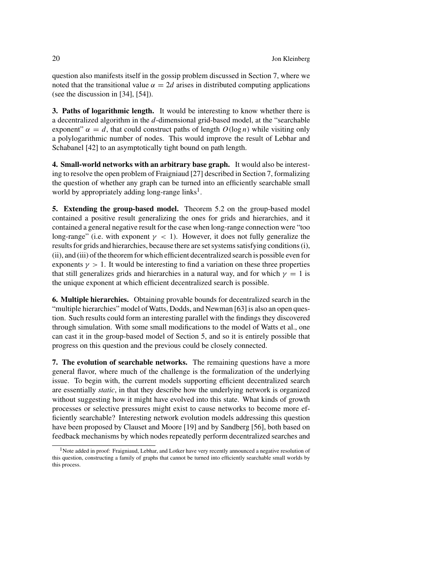question also manifests itself in the gossip problem discussed in Section 7, where we noted that the transitional value  $\alpha = 2d$  arises in distributed computing applications (see the discussion in [34], [54]).

**3. Paths of logarithmic length.** It would be interesting to know whether there is a decentralized algorithm in the  $d$ -dimensional grid-based model, at the "searchable exponent"  $\alpha = d$ , that could construct paths of length  $O(log n)$  while visiting only a polylogarithmic number of nodes. This would improve the result of Lebhar and Schabanel [42] to an asymptotically tight bound on path length.

**4. Small-world networks with an arbitrary base graph.** It would also be interesting to resolve the open problem of Fraigniaud [27] described in Section 7, formalizing the question of whether any graph can be turned into an efficiently searchable small world by appropriately adding long-range links<sup>1</sup>.

**5. Extending the group-based model.** Theorem 5.2 on the group-based model contained a positive result generalizing the ones for grids and hierarchies, and it contained a general negative result for the case when long-range connection were "too long-range" (i.e. with exponent  $\gamma$  < 1). However, it does not fully generalize the results for grids and hierarchies, because there are set systems satisfying conditions (i), (ii), and (iii) of the theorem for which efficient decentralized search is possible even for exponents  $\gamma > 1$ . It would be interesting to find a variation on these three properties that still generalizes grids and hierarchies in a natural way, and for which  $\gamma = 1$  is the unique exponent at which efficient decentralized search is possible.

**6. Multiple hierarchies.** Obtaining provable bounds for decentralized search in the "multiple hierarchies" model ofWatts, Dodds, and Newman [63] is also an open question. Such results could form an interesting parallel with the findings they discovered through simulation. With some small modifications to the model of Watts et al., one can cast it in the group-based model of Section 5, and so it is entirely possible that progress on this question and the previous could be closely connected.

**7. The evolution of searchable networks.** The remaining questions have a more general flavor, where much of the challenge is the formalization of the underlying issue. To begin with, the current models supporting efficient decentralized search are essentially *static*, in that they describe how the underlying network is organized without suggesting how it might have evolved into this state. What kinds of growth processes or selective pressures might exist to cause networks to become more efficiently searchable? Interesting network evolution models addressing this question have been proposed by Clauset and Moore [19] and by Sandberg [56], both based on feedback mechanisms by which nodes repeatedly perform decentralized searches and

<sup>&</sup>lt;sup>1</sup>Note added in proof: Fraigniaud, Lebhar, and Lotker have very recently announced a negative resolution of this question, constructing a family of graphs that cannot be turned into efficiently searchable small worlds by this process.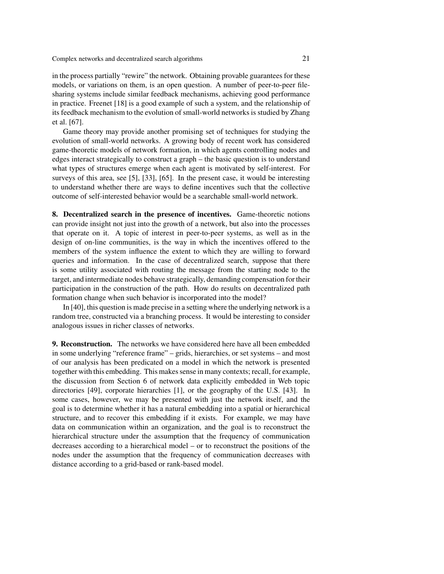in the process partially "rewire" the network. Obtaining provable guarantees for these models, or variations on them, is an open question. A number of peer-to-peer filesharing systems include similar feedback mechanisms, achieving good performance in practice. Freenet [18] is a good example of such a system, and the relationship of its feedback mechanism to the evolution of small-world networks is studied by Zhang et al. [67].

Game theory may provide another promising set of techniques for studying the evolution of small-world networks. A growing body of recent work has considered game-theoretic models of network formation, in which agents controlling nodes and edges interact strategically to construct a graph – the basic question is to understand what types of structures emerge when each agent is motivated by self-interest. For surveys of this area, see [5], [33], [65]. In the present case, it would be interesting to understand whether there are ways to define incentives such that the collective outcome of self-interested behavior would be a searchable small-world network.

**8. Decentralized search in the presence of incentives.** Game-theoretic notions can provide insight not just into the growth of a network, but also into the processes that operate on it. A topic of interest in peer-to-peer systems, as well as in the design of on-line communities, is the way in which the incentives offered to the members of the system influence the extent to which they are willing to forward queries and information. In the case of decentralized search, suppose that there is some utility associated with routing the message from the starting node to the target, and intermediate nodes behave strategically, demanding compensation for their participation in the construction of the path. How do results on decentralized path formation change when such behavior is incorporated into the model?

In [40], this question is made precise in a setting where the underlying network is a random tree, constructed via a branching process. It would be interesting to consider analogous issues in richer classes of networks.

**9. Reconstruction.** The networks we have considered here have all been embedded in some underlying "reference frame" – grids, hierarchies, or set systems – and most of our analysis has been predicated on a model in which the network is presented together with this embedding. This makes sense in many contexts; recall, for example, the discussion from Section 6 of network data explicitly embedded in Web topic directories [49], corporate hierarchies [1], or the geography of the U.S. [43]. In some cases, however, we may be presented with just the network itself, and the goal is to determine whether it has a natural embedding into a spatial or hierarchical structure, and to recover this embedding if it exists. For example, we may have data on communication within an organization, and the goal is to reconstruct the hierarchical structure under the assumption that the frequency of communication decreases according to a hierarchical model – or to reconstruct the positions of the nodes under the assumption that the frequency of communication decreases with distance according to a grid-based or rank-based model.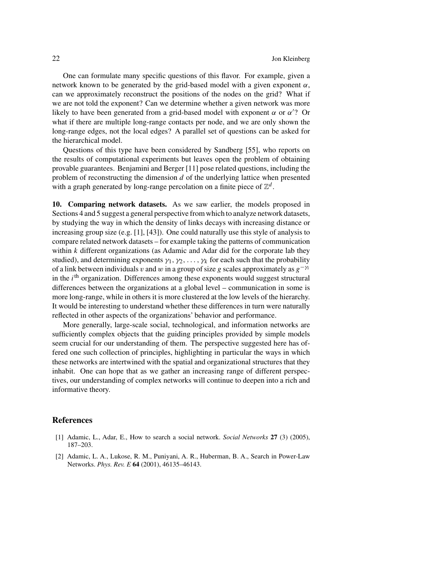One can formulate many specific questions of this flavor. For example, given a network known to be generated by the grid-based model with a given exponent  $\alpha$ , can we approximately reconstruct the positions of the nodes on the grid? What if we are not told the exponent? Can we determine whether a given network was more likely to have been generated from a grid-based model with exponent  $\alpha$  or  $\alpha$ <sup>'</sup>? Or what if there are multiple long-range contacts per node, and we are only shown the long-range edges, not the local edges? A parallel set of questions can be asked for the hierarchical model.

Questions of this type have been considered by Sandberg [55], who reports on the results of computational experiments but leaves open the problem of obtaining provable guarantees. Benjamini and Berger [11] pose related questions, including the problem of reconstructing the dimension  $d$  of the underlying lattice when presented with a graph generated by long-range percolation on a finite piece of  $\mathbb{Z}^d$ .

**10. Comparing network datasets.** As we saw earlier, the models proposed in Sections 4 and 5 suggest a general perspective from which to analyze network datasets, by studying the way in which the density of links decays with increasing distance or increasing group size (e.g.  $[1]$ ,  $[43]$ ). One could naturally use this style of analysis to compare related network datasets – for example taking the patterns of communication within  $k$  different organizations (as Adamic and Adar did for the corporate lab they studied), and determining exponents  $\gamma_1, \gamma_2, \ldots, \gamma_k$  for each such that the probability of a link between individuals v and w in a group of size g scales approximately as  $g^{-\gamma_i}$ in the  $i<sup>th</sup>$  organization. Differences among these exponents would suggest structural differences between the organizations at a global level – communication in some is more long-range, while in others it is more clustered at the low levels of the hierarchy. It would be interesting to understand whether these differences in turn were naturally reflected in other aspects of the organizations' behavior and performance.

More generally, large-scale social, technological, and information networks are sufficiently complex objects that the guiding principles provided by simple models seem crucial for our understanding of them. The perspective suggested here has offered one such collection of principles, highlighting in particular the ways in which these networks are intertwined with the spatial and organizational structures that they inhabit. One can hope that as we gather an increasing range of different perspectives, our understanding of complex networks will continue to deepen into a rich and informative theory.

## **References**

- [1] Adamic, L., Adar, E., How to search a social network. *Social Networks* **27** (3) (2005), 187–203.
- [2] Adamic, L. A., Lukose, R. M., Puniyani, A. R., Huberman, B. A., Search in Power-Law Networks. *Phys. Rev. E* **64** (2001), 46135–46143.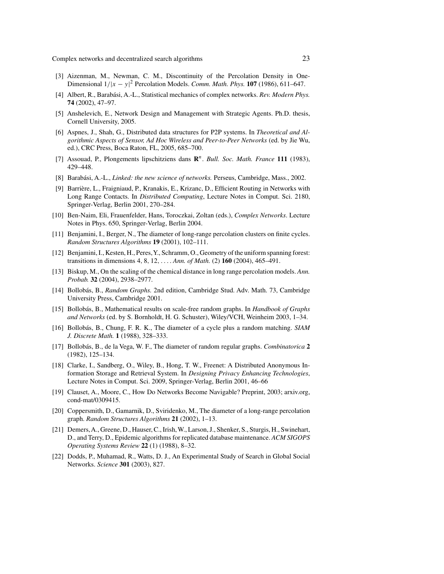- [3] Aizenman, M., Newman, C. M., Discontinuity of the Percolation Density in One-Dimensional  $1/|x - y|^2$  Percolation Models. *Comm. Math. Phys.* **107** (1986), 611–647.
- [4] Albert, R., Barabási, A.-L., Statistical mechanics of complex networks. *Rev. Modern Phys.* **74** (2002), 47–97.
- [5] Anshelevich, E., Network Design and Management with Strategic Agents. Ph.D. thesis, Cornell University, 2005.
- [6] Aspnes, J., Shah, G., Distributed data structures for P2P systems. In *Theoretical and Algorithmic Aspects of Sensor, Ad Hoc Wireless and Peer-to-Peer Networks* (ed. by Jie Wu, ed.), CRC Press, Boca Raton, FL, 2005, 685–700.
- [7] Assouad, P., Plongements lipschitziens dans  $\mathbb{R}^n$ . *Bull. Soc. Math. France* 111 (1983), 429–448.
- [8] Barabási, A.-L., *Linked: the new science of networks.* Perseus, Cambridge, Mass., 2002.
- [9] Barrière, L., Fraigniaud, P., Kranakis, E., Krizanc, D., Efficient Routing in Networks with Long Range Contacts. In *Distributed Computing*, Lecture Notes in Comput. Sci. 2180, Springer-Verlag, Berlin 2001, 270–284.
- [10] Ben-Naim, Eli, Frauenfelder, Hans, Toroczkai, Zoltan (eds.), *Complex Networks*. Lecture Notes in Phys. 650, Springer-Verlag, Berlin 2004.
- [11] Benjamini, I., Berger, N., The diameter of long-range percolation clusters on finite cycles. *Random Structures Algorithms* **19** (2001), 102–111.
- [12] Benjamini, I., Kesten, H., Peres,Y., Schramm, O., Geometry of the uniform spanning forest: transitions in dimensions 4, 8, 12,... . *Ann. of Math.* (2) **160** (2004), 465–491.
- [13] Biskup, M., On the scaling of the chemical distance in long range percolation models. *Ann. Probab.* **32** (2004), 2938–2977.
- [14] Bollobás, B., *Random Graphs.* 2nd edition, Cambridge Stud. Adv. Math. 73, Cambridge University Press, Cambridge 2001.
- [15] Bollobás, B., Mathematical results on scale-free random graphs. In *Handbook of Graphs and Networks* (ed. by S. Bornholdt, H. G. Schuster), Wiley/VCH, Weinheim 2003, 1–34.
- [16] Bollobás, B., Chung, F. R. K., The diameter of a cycle plus a random matching. *SIAM J. Discrete Math.* **1** (1988), 328–333.
- [17] Bollobás, B., de la Vega, W. F., The diameter of random regular graphs. *Combinatorica* **2** (1982), 125–134.
- [18] Clarke, I., Sandberg, O., Wiley, B., Hong, T. W., Freenet: A Distributed Anonymous Information Storage and Retrieval System. In *Designing Privacy Enhancing Technologies*, Lecture Notes in Comput. Sci. 2009, Springer-Verlag, Berlin 2001, 46–66
- [19] Clauset, A., Moore, C., How Do Networks Become Navigable? Preprint, 2003; arxiv.org, cond-mat/0309415.
- [20] Coppersmith, D., Gamarnik, D., Sviridenko, M., The diameter of a long-range percolation graph. *Random Structures Algorithms* **21** (2002), 1–13.
- [21] Demers,A., Greene, D., Hauser, C., Irish,W., Larson, J., Shenker, S., Sturgis, H., Swinehart, D., and Terry, D., Epidemic algorithms for replicated database maintenance. *ACM SIGOPS Operating Systems Review* **22** (1) (1988), 8–32.
- [22] Dodds, P., Muhamad, R., Watts, D. J., An Experimental Study of Search in Global Social Networks. *Science* **301** (2003), 827.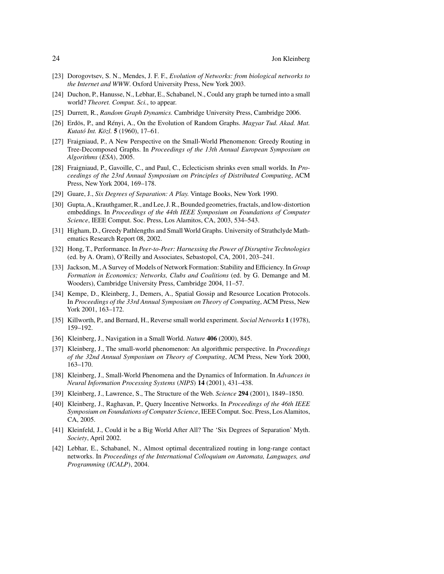- [23] Dorogovtsev, S. N., Mendes, J. F. F., *Evolution of Networks: from biological networks to the Internet and WWW*. Oxford University Press, New York 2003.
- [24] Duchon, P., Hanusse, N., Lebhar, E., Schabanel, N., Could any graph be turned into a small world? *Theoret. Comput. Sci.*, to appear.
- [25] Durrett, R., *Random Graph Dynamics.* Cambridge University Press, Cambridge 2006.
- [26] Erdös, P., and Rényi, A., On the Evolution of Random Graphs. *Magyar Tud. Akad. Mat. Kutató Int. Közl.* **5** (1960), 17–61.
- [27] Fraigniaud, P., A New Perspective on the Small-World Phenomenon: Greedy Routing in Tree-Decomposed Graphs. In *Proceedings of the 13th Annual European Symposium on Algorithms* (*ESA*), 2005.
- [28] Fraigniaud, P., Gavoille, C., and Paul, C., Eclecticism shrinks even small worlds. In *Proceedings of the 23rd Annual Symposium on Principles of Distributed Computing*, ACM Press, New York 2004, 169–178.
- [29] Guare, J., *Six Degrees of Separation: A Play.* Vintage Books, New York 1990.
- [30] Gupta,A., Krauthgamer, R., and Lee, J. R., Bounded geometries, fractals, and low-distortion embeddings. In *Proceedings of the 44th IEEE Symposium on Foundations of Computer Science*, IEEE Comput. Soc. Press, Los Alamitos, CA, 2003, 534–543.
- [31] Higham, D., Greedy Pathlengths and Small World Graphs. University of Strathclyde Mathematics Research Report 08, 2002.
- [32] Hong, T., Performance. In *Peer-to-Peer: Harnessing the Power of Disruptive Technologies* (ed. by A. Oram), O'Reilly and Associates, Sebastopol, CA, 2001, 203–241.
- [33] Jackson, M., A Survey of Models of Network Formation: Stability and Efficiency. In *Group Formation in Economics; Networks, Clubs and Coalitions* (ed. by G. Demange and M. Wooders), Cambridge University Press, Cambridge 2004, 11–57.
- [34] Kempe, D., Kleinberg, J., Demers, A., Spatial Gossip and Resource Location Protocols. In *Proceedings of the 33rd Annual Symposium on Theory of Computing*, ACM Press, New York 2001, 163–172.
- [35] Killworth, P., and Bernard, H., Reverse small world experiment. *Social Networks* **1** (1978), 159–192.
- [36] Kleinberg, J., Navigation in a Small World. *Nature* **406** (2000), 845.
- [37] Kleinberg, J., The small-world phenomenon: An algorithmic perspective. In *Proceedings of the 32nd Annual Symposium on Theory of Computing*, ACM Press, New York 2000, 163–170.
- [38] Kleinberg, J., Small-World Phenomena and the Dynamics of Information. In *Advances in Neural Information Processing Systems* (*NIPS*) **14** (2001), 431–438.
- [39] Kleinberg, J., Lawrence, S., The Structure of the Web. *Science* **294** (2001), 1849–1850.
- [40] Kleinberg, J., Raghavan, P., Query Incentive Networks. In *Proceedings of the 46th IEEE Symposium on Foundations of Computer Science*, IEEE Comput. Soc. Press, Los Alamitos, CA, 2005.
- [41] Kleinfeld, J., Could it be a Big World After All? The 'Six Degrees of Separation' Myth. *Society*, April 2002.
- [42] Lebhar, E., Schabanel, N., Almost optimal decentralized routing in long-range contact networks. In *Proceedings of the International Colloquium on Automata, Languages, and Programming* (*ICALP*), 2004.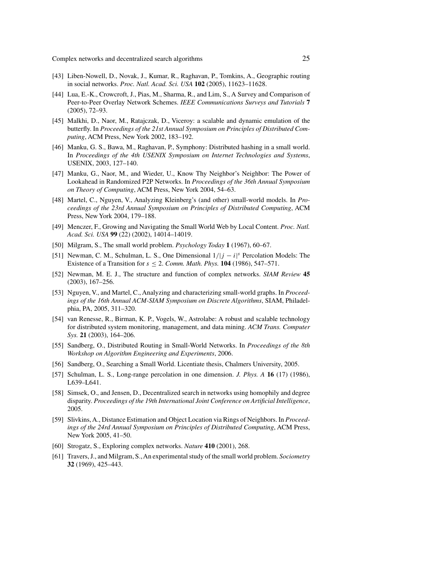- [43] Liben-Nowell, D., Novak, J., Kumar, R., Raghavan, P., Tomkins, A., Geographic routing in social networks. *Proc. Natl. Acad. Sci. USA* **102** (2005), 11623–11628.
- [44] Lua, E.-K., Crowcroft, J., Pias, M., Sharma, R., and Lim, S., A Survey and Comparison of Peer-to-Peer Overlay Network Schemes. *IEEE Communications Surveys and Tutorials* **7** (2005), 72–93.
- [45] Malkhi, D., Naor, M., Ratajczak, D., Viceroy: a scalable and dynamic emulation of the butterfly. In *Proceedings of the 21st Annual Symposium on Principles of Distributed Computing*, ACM Press, New York 2002, 183–192.
- [46] Manku, G. S., Bawa, M., Raghavan, P., Symphony: Distributed hashing in a small world. In *Proceedings of the 4th USENIX Symposium on Internet Technologies and Systems*, USENIX, 2003, 127–140.
- [47] Manku, G., Naor, M., and Wieder, U., Know Thy Neighbor's Neighbor: The Power of Lookahead in Randomized P2P Networks. In *Proceedings of the 36th Annual Symposium on Theory of Computing*, ACM Press, New York 2004, 54–63.
- [48] Martel, C., Nguyen, V., Analyzing Kleinberg's (and other) small-world models. In *Proceedings of the 23rd Annual Symposium on Principles of Distributed Computing*, ACM Press, New York 2004, 179–188.
- [49] Menczer, F., Growing and Navigating the Small World Web by Local Content. *Proc. Natl. Acad. Sci. USA* **99** (22) (2002), 14014–14019.
- [50] Milgram, S., The small world problem. *Psychology Today* **1** (1967), 60–67.
- [51] Newman, C. M., Schulman, L. S., One Dimensional  $1/|j i|^s$  Percolation Models: The Existence of a Transition for  $s \le 2$ . *Comm. Math. Phys.* **104** (1986), 547–571.
- [52] Newman, M. E. J., The structure and function of complex networks. *SIAM Review* **45** (2003), 167–256.
- [53] Nguyen, V., and Martel, C., Analyzing and characterizing small-world graphs. In *Proceedings of the 16th Annual ACM-SIAM Symposium on Discrete Algorithms*, SIAM, Philadelphia, PA, 2005, 311–320.
- [54] van Renesse, R., Birman, K. P., Vogels, W., Astrolabe: A robust and scalable technology for distributed system monitoring, management, and data mining. *ACM Trans. Computer Sys.* **21** (2003), 164–206.
- [55] Sandberg, O., Distributed Routing in Small-World Networks. In *Proceedings of the 8th Workshop on Algorithm Engineering and Experiments*, 2006.
- [56] Sandberg, O., Searching a Small World. Licentiate thesis, Chalmers University, 2005.
- [57] Schulman, L. S., Long-range percolation in one dimension. *J. Phys. A* **16** (17) (1986), L639–L641.
- [58] Simsek, O., and Jensen, D., Decentralized search in networks using homophily and degree disparity. *Proceedings of the 19th International Joint Conference on Artificial Intelligence*, 2005.
- [59] Slivkins, A., Distance Estimation and Object Location via Rings of Neighbors. In *Proceedings of the 24rd Annual Symposium on Principles of Distributed Computing*, ACM Press, New York 2005, 41–50.
- [60] Strogatz, S., Exploring complex networks. *Nature* **410** (2001), 268.
- [61] Travers, J., and Milgram, S.,An experimental study of the small world problem. *Sociometry* **32** (1969), 425–443.